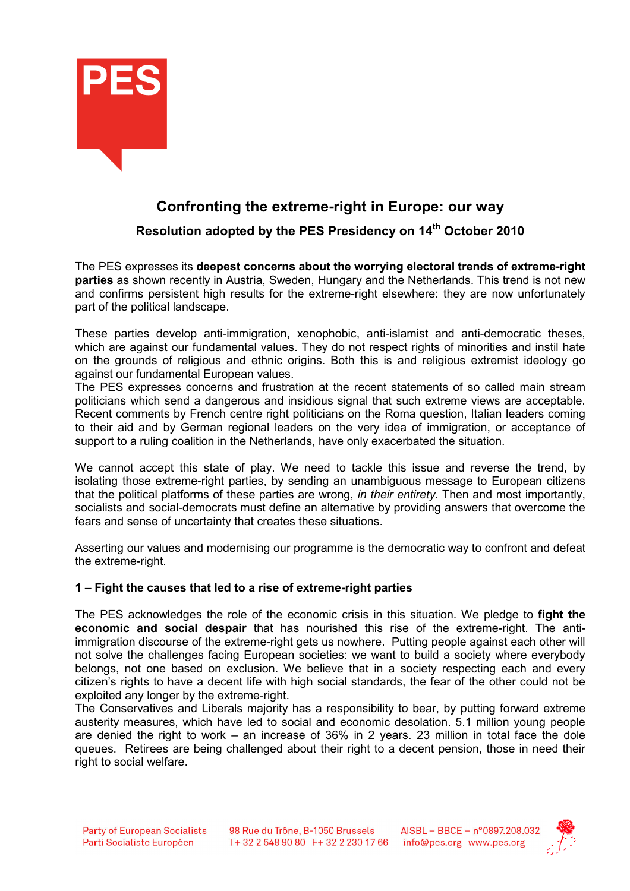

## Confronting the extreme-right in Europe: our way

## Resolution adopted by the PES Presidency on 14<sup>th</sup> October 2010

The PES expresses its deepest concerns about the worrying electoral trends of extreme-right parties as shown recently in Austria, Sweden, Hungary and the Netherlands. This trend is not new and confirms persistent high results for the extreme-right elsewhere: they are now unfortunately part of the political landscape.

These parties develop anti-immigration, xenophobic, anti-islamist and anti-democratic theses, which are against our fundamental values. They do not respect rights of minorities and instil hate on the grounds of religious and ethnic origins. Both this is and religious extremist ideology go against our fundamental European values.

The PES expresses concerns and frustration at the recent statements of so called main stream politicians which send a dangerous and insidious signal that such extreme views are acceptable. Recent comments by French centre right politicians on the Roma question, Italian leaders coming to their aid and by German regional leaders on the very idea of immigration, or acceptance of support to a ruling coalition in the Netherlands, have only exacerbated the situation.

We cannot accept this state of play. We need to tackle this issue and reverse the trend, by isolating those extreme-right parties, by sending an unambiguous message to European citizens that the political platforms of these parties are wrong, in their entirety. Then and most importantly, socialists and social-democrats must define an alternative by providing answers that overcome the fears and sense of uncertainty that creates these situations.

Asserting our values and modernising our programme is the democratic way to confront and defeat the extreme-right.

## 1 – Fight the causes that led to a rise of extreme-right parties

The PES acknowledges the role of the economic crisis in this situation. We pledge to fight the economic and social despair that has nourished this rise of the extreme-right. The antiimmigration discourse of the extreme-right gets us nowhere. Putting people against each other will not solve the challenges facing European societies: we want to build a society where everybody belongs, not one based on exclusion. We believe that in a society respecting each and every citizen's rights to have a decent life with high social standards, the fear of the other could not be exploited any longer by the extreme-right.

The Conservatives and Liberals majority has a responsibility to bear, by putting forward extreme austerity measures, which have led to social and economic desolation. 5.1 million young people are denied the right to work – an increase of 36% in 2 years. 23 million in total face the dole queues. Retirees are being challenged about their right to a decent pension, those in need their right to social welfare.